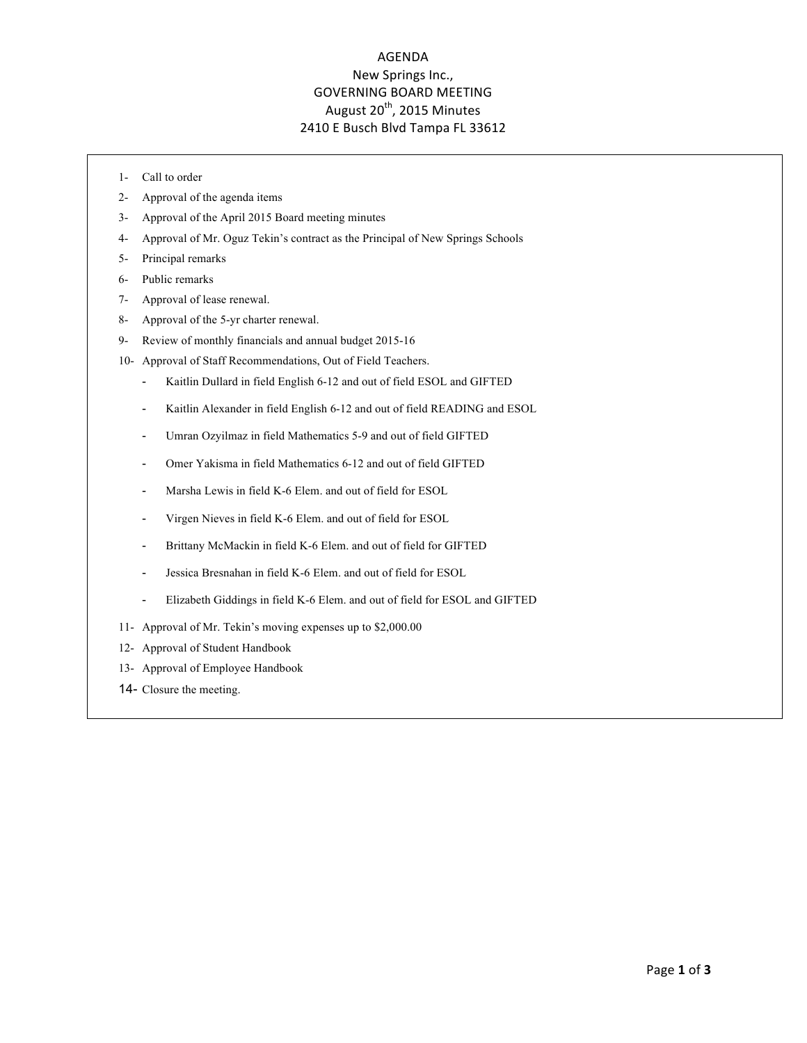## AGENDA New Springs Inc., **GOVERNING BOARD MEETING** August  $20^{th}$ , 2015 Minutes 2410 E Busch Blvd Tampa FL 33612

- 1- Call to order
- 2- Approval of the agenda items
- 3- Approval of the April 2015 Board meeting minutes
- 4- Approval of Mr. Oguz Tekin's contract as the Principal of New Springs Schools
- 5- Principal remarks
- 6- Public remarks
- 7- Approval of lease renewal.
- 8- Approval of the 5-yr charter renewal.
- 9- Review of monthly financials and annual budget 2015-16
- 10- Approval of Staff Recommendations, Out of Field Teachers.
	- Kaitlin Dullard in field English 6-12 and out of field ESOL and GIFTED
	- Kaitlin Alexander in field English 6-12 and out of field READING and ESOL
	- Umran Ozyilmaz in field Mathematics 5-9 and out of field GIFTED
	- Omer Yakisma in field Mathematics 6-12 and out of field GIFTED
	- Marsha Lewis in field K-6 Elem. and out of field for ESOL
	- Virgen Nieves in field K-6 Elem. and out of field for ESOL
	- Brittany McMackin in field K-6 Elem. and out of field for GIFTED
	- Jessica Bresnahan in field K-6 Elem. and out of field for ESOL
	- Elizabeth Giddings in field K-6 Elem. and out of field for ESOL and GIFTED
- 11- Approval of Mr. Tekin's moving expenses up to \$2,000.00
- 12- Approval of Student Handbook
- 13- Approval of Employee Handbook
- 14- Closure the meeting.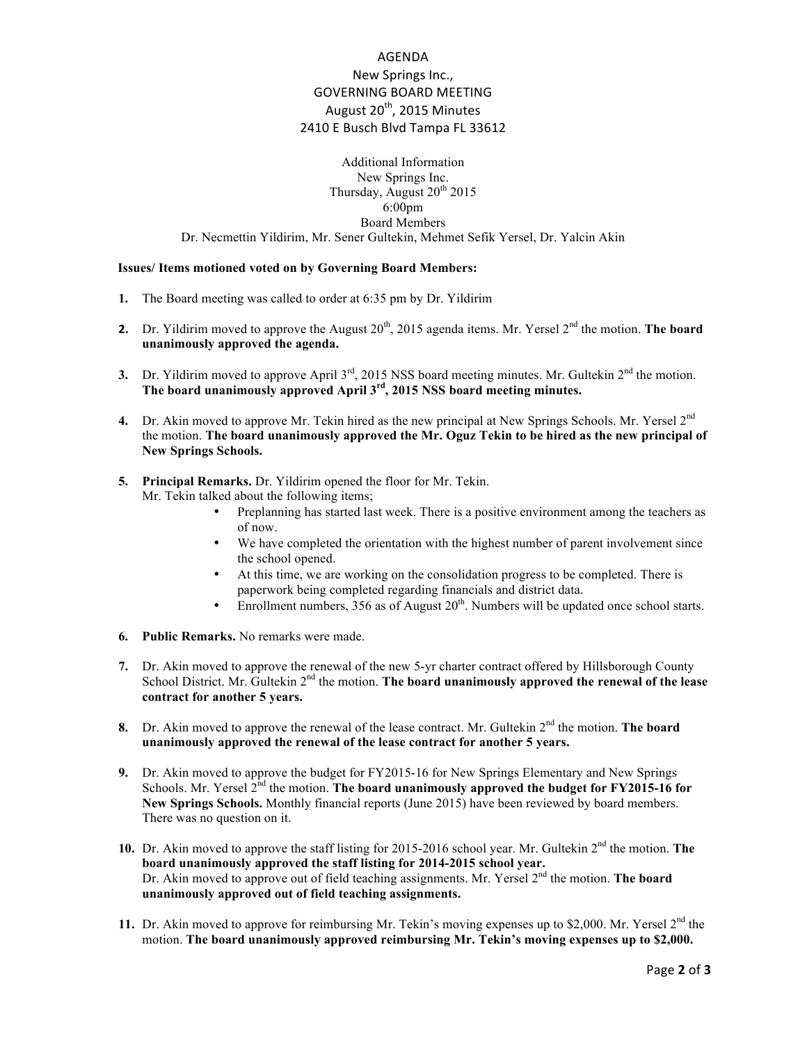## AGENDA New Springs Inc., **GOVERNING BOARD MEETING** August  $20^{th}$ , 2015 Minutes 2410 E Busch Blvd Tampa FL 33612

Additional Information New Springs Inc. Thursday, August  $20^{th}$  2015 6:00pm Board Members Dr. Necmettin Yildirim, Mr. Sener Gultekin, Mehmet Sefik Yersel, Dr. Yalcin Akin

## **Issues/ Items motioned voted on by Governing Board Members:**

- **1.** The Board meeting was called to order at 6:35 pm by Dr. Yildirim
- **2.** Dr. Yildirim moved to approve the August 20<sup>th</sup>, 2015 agenda items. Mr. Yersel 2<sup>nd</sup> the motion. **The board unanimously approved the agenda.**
- **3.** Dr. Yildirim moved to approve April  $3^{rd}$ , 2015 NSS board meeting minutes. Mr. Gultekin  $2^{nd}$  the motion. **The board unanimously approved April 3rd, 2015 NSS board meeting minutes.**
- **4.** Dr. Akin moved to approve Mr. Tekin hired as the new principal at New Springs Schools. Mr. Yersel 2<sup>nd</sup> the motion. **The board unanimously approved the Mr. Oguz Tekin to be hired as the new principal of New Springs Schools.**
- **5. Principal Remarks.** Dr. Yildirim opened the floor for Mr. Tekin.
	- Mr. Tekin talked about the following items;
		- Preplanning has started last week. There is a positive environment among the teachers as of now.
		- We have completed the orientation with the highest number of parent involvement since the school opened.
		- At this time, we are working on the consolidation progress to be completed. There is paperwork being completed regarding financials and district data.
		- Enrollment numbers,  $356$  as of August  $20<sup>th</sup>$ . Numbers will be updated once school starts.
- **6. Public Remarks.** No remarks were made.
- **7.** Dr. Akin moved to approve the renewal of the new 5-yr charter contract offered by Hillsborough County School District. Mr. Gultekin 2<sup>nd</sup> the motion. **The board unanimously approved the renewal of the lease contract for another 5 years.**
- **8.** Dr. Akin moved to approve the renewal of the lease contract. Mr. Gultekin 2<sup>nd</sup> the motion. The board **unanimously approved the renewal of the lease contract for another 5 years.**
- **9.** Dr. Akin moved to approve the budget for FY2015-16 for New Springs Elementary and New Springs Schools. Mr. Yersel 2<sup>nd</sup> the motion. **The board unanimously approved the budget for FY2015-16 for New Springs Schools.** Monthly financial reports (June 2015) have been reviewed by board members. There was no question on it.
- 10. Dr. Akin moved to approve the staff listing for 2015-2016 school year. Mr. Gultekin 2<sup>nd</sup> the motion. The **board unanimously approved the staff listing for 2014-2015 school year.** Dr. Akin moved to approve out of field teaching assignments. Mr. Yersel 2<sup>nd</sup> the motion. The board **unanimously approved out of field teaching assignments.**
- 11. Dr. Akin moved to approve for reimbursing Mr. Tekin's moving expenses up to \$2,000. Mr. Yersel 2<sup>nd</sup> the motion. **The board unanimously approved reimbursing Mr. Tekin's moving expenses up to \$2,000.**